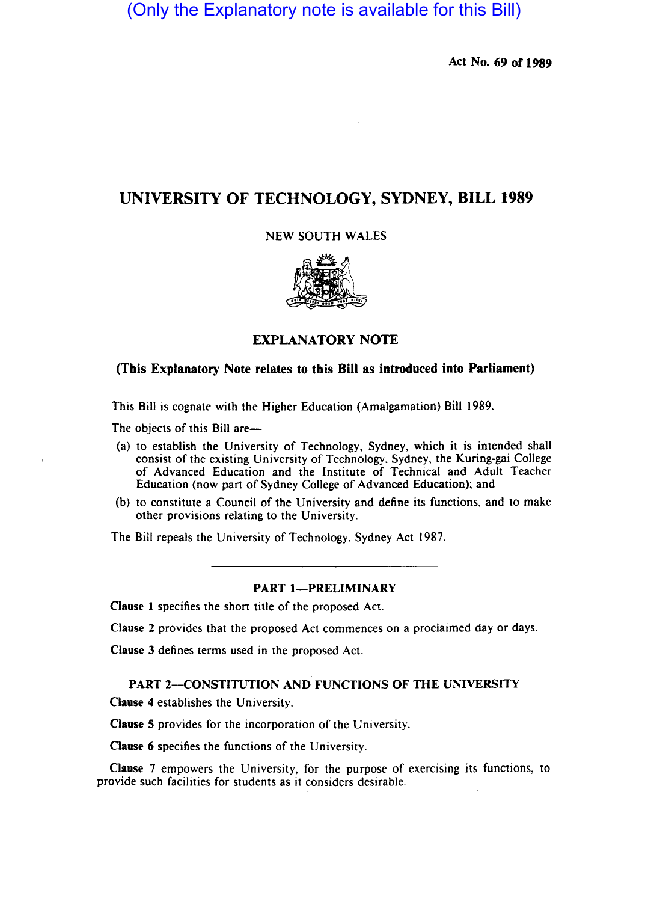(Only the Explanatory note is available for this Bill)

Act No. 69 of 1989

# UNIVERSITY OF TECHNOLOGY, SYDNEY, BILL 1989

NEW SOUTH WALES



# EXPLANATORY NOTE

# (This Explanatory Note relates to this Bill as introduced into Parliament)

This Bill is cognate with the Higher Education (Amalgamation) Bill 1989.

The objects of this Bill are—

- (a) to establish the University of Technology, Sydney, which it is intended shall consist of the existing University of Technology, Sydney, the Kuring-gai College of Advanced Education and the Institute of Technical and Adult Teacher Education (now part of Sydney College of Advanced Education); and
- (b) to constitute a Council of the University and define its functions, and to make other provisions relating to the University.

The Bill repeals the University of Technology, Sydney Act 1987.

# PART 1-PRELIMINARY

Clause I specifies the short title of the proposed Act.

Clause 2 provides that the proposed Act commences on a proclaimed day or days.

Clause 3 defines terms used in the proposed Act.

PART 2-CONSTITUTION AND FUNCTIONS OF THE UNIVERSITY Clause 4 establishes the University.

Clause S provides for the incorporation of the University.

Clause 6 specifies the functions of the University.

Clause 7 empowers the University, for the purpose of exercising its functions, to provide such facilities for students as it considers desirable.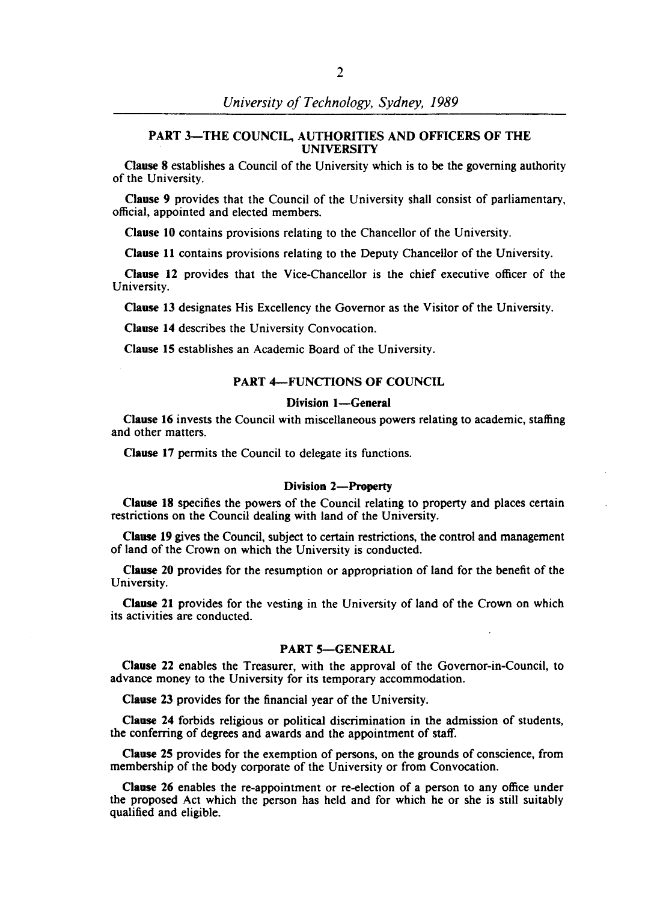## PART 3-THE COUNCIL, AUTHORITIES AND OFFICERS OF THE UNIVERSITY

Clause 8 establishes a Council of the University which is to be the governing authority of the University.

Clause 9 provides that the Council of the University shall consist of parliamentary, official, appointed and elected members.

Clause 10 contains provisions relating to the Chancellor of the University.

Clause 11 contains provisions relating to the Deputy Chancellor of the University.

Clause 12 provides that the Vice-Chancellor is the chief executive officer of the University.

Clause 13 designates His Excellency the Governor as the Visitor of the University.

Clause 14 describes the University Convocation.

Clause 15 establishes an Academic Board of the University.

### PART 4-FUNCTIONS OF COUNCIL

#### Division 1-General

Clause 16 invests the Council with miscellaneous powers relating to academic, staffing and other matters.

Clause 17 permits the Council to delegate its functions.

#### Division 2-Property

Clause 18 specifies the powers of the Council relating to property and places certain restrictions on the Council dealing with land of the University.

Clause 19 gives the Council, subject to certain restrictions, the control and management of land of the Crown on which the University is conducted.

Clause 20 provides for the resumption or appropriation of land for the benefit of the University.

Clause 21 provides for the vesting in the University of land of the Crown on which its activities are conducted.

#### PART 5-GENERAL

Clause 22 enables the Treasurer, with the approval of the Governor-in-Council, to advance money to the University for its temporary accommodation.

Clause 23 provides for the financial year of the University.

Clause 24 forbids religious or political discrimination in the admission of students, the conferring of degrees and awards and the appointment of staff.

Clause 25 provides for the exemption of persons, on the grounds of conscience, from membership of the body corporate of the University or from Convocation.

Clause 26 enables the re-appointment or re-election of a person to any office under the proposed Act which the person has held and for which he or she is still suitably qualified and eligible.